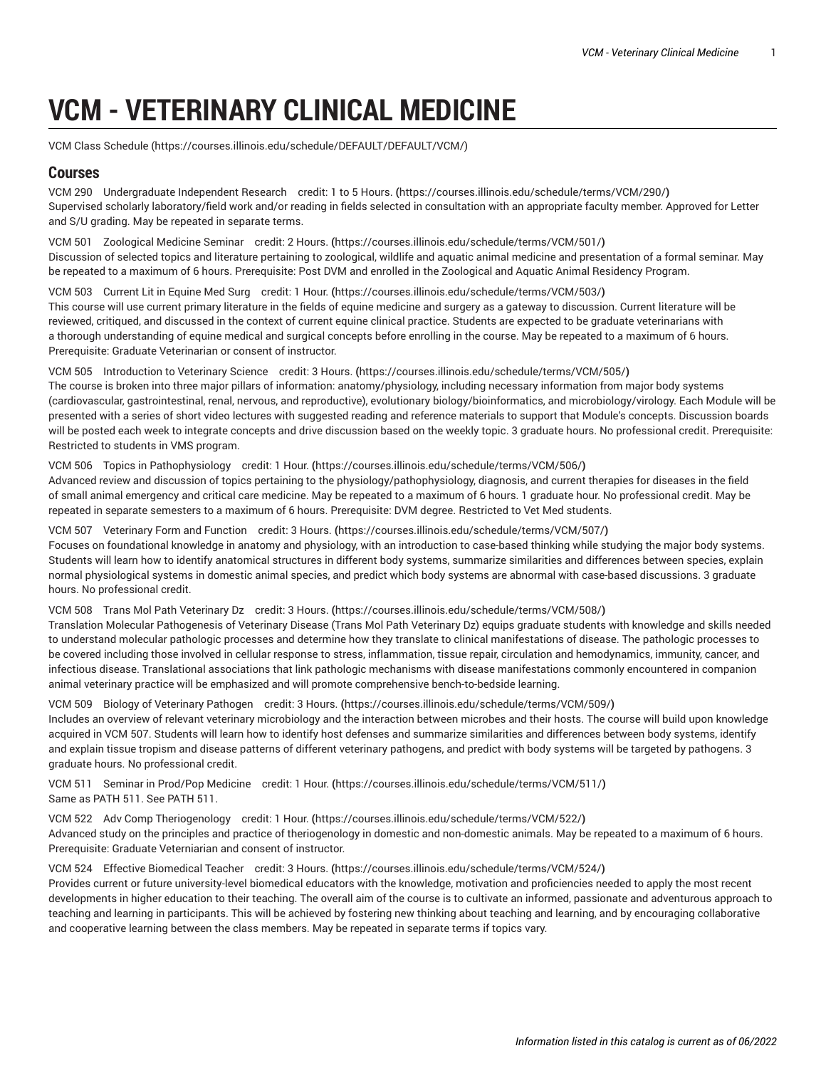# **VCM - VETERINARY CLINICAL MEDICINE**

VCM Class [Schedule](https://courses.illinois.edu/schedule/DEFAULT/DEFAULT/VCM/) (<https://courses.illinois.edu/schedule/DEFAULT/DEFAULT/VCM/>)

# **Courses**

VCM 290 [Undergraduate](https://courses.illinois.edu/schedule/terms/VCM/290/) Independent Research credit: 1 to 5 Hours. **(**<https://courses.illinois.edu/schedule/terms/VCM/290/>**)** Supervised scholarly laboratory/field work and/or reading in fields selected in consultation with an appropriate faculty member. Approved for Letter and S/U grading. May be repeated in separate terms.

VCM 501 [Zoological](https://courses.illinois.edu/schedule/terms/VCM/501/) Medicine Seminar credit: 2 Hours. **(**<https://courses.illinois.edu/schedule/terms/VCM/501/>**)** Discussion of selected topics and literature pertaining to zoological, wildlife and aquatic animal medicine and presentation of a formal seminar. May be repeated to a maximum of 6 hours. Prerequisite: Post DVM and enrolled in the Zoological and Aquatic Animal Residency Program.

VCM 503 [Current](https://courses.illinois.edu/schedule/terms/VCM/503/) Lit in Equine Med Surg credit: 1 Hour. **(**<https://courses.illinois.edu/schedule/terms/VCM/503/>**)** This course will use current primary literature in the fields of equine medicine and surgery as a gateway to discussion. Current literature will be reviewed, critiqued, and discussed in the context of current equine clinical practice. Students are expected to be graduate veterinarians with a thorough understanding of equine medical and surgical concepts before enrolling in the course. May be repeated to a maximum of 6 hours. Prerequisite: Graduate Veterinarian or consent of instructor.

VCM 505 [Introduction](https://courses.illinois.edu/schedule/terms/VCM/505/) to Veterinary Science credit: 3 Hours. **(**<https://courses.illinois.edu/schedule/terms/VCM/505/>**)**

The course is broken into three major pillars of information: anatomy/physiology, including necessary information from major body systems (cardiovascular, gastrointestinal, renal, nervous, and reproductive), evolutionary biology/bioinformatics, and microbiology/virology. Each Module will be presented with a series of short video lectures with suggested reading and reference materials to support that Module's concepts. Discussion boards will be posted each week to integrate concepts and drive discussion based on the weekly topic. 3 graduate hours. No professional credit. Prerequisite: Restricted to students in VMS program.

#### VCM 506 Topics in [Pathophysiology](https://courses.illinois.edu/schedule/terms/VCM/506/) credit: 1 Hour. **(**<https://courses.illinois.edu/schedule/terms/VCM/506/>**)**

Advanced review and discussion of topics pertaining to the physiology/pathophysiology, diagnosis, and current therapies for diseases in the field of small animal emergency and critical care medicine. May be repeated to a maximum of 6 hours. 1 graduate hour. No professional credit. May be repeated in separate semesters to a maximum of 6 hours. Prerequisite: DVM degree. Restricted to Vet Med students.

VCM 507 [Veterinary](https://courses.illinois.edu/schedule/terms/VCM/507/) Form and Function credit: 3 Hours. **(**<https://courses.illinois.edu/schedule/terms/VCM/507/>**)**

Focuses on foundational knowledge in anatomy and physiology, with an introduction to case-based thinking while studying the major body systems. Students will learn how to identify anatomical structures in different body systems, summarize similarities and differences between species, explain normal physiological systems in domestic animal species, and predict which body systems are abnormal with case-based discussions. 3 graduate hours. No professional credit.

#### VCM 508 Trans Mol Path [Veterinary](https://courses.illinois.edu/schedule/terms/VCM/508/) Dz credit: 3 Hours. **(**<https://courses.illinois.edu/schedule/terms/VCM/508/>**)**

Translation Molecular Pathogenesis of Veterinary Disease (Trans Mol Path Veterinary Dz) equips graduate students with knowledge and skills needed to understand molecular pathologic processes and determine how they translate to clinical manifestations of disease. The pathologic processes to be covered including those involved in cellular response to stress, inflammation, tissue repair, circulation and hemodynamics, immunity, cancer, and infectious disease. Translational associations that link pathologic mechanisms with disease manifestations commonly encountered in companion animal veterinary practice will be emphasized and will promote comprehensive bench-to-bedside learning.

VCM 509 Biology of [Veterinary](https://courses.illinois.edu/schedule/terms/VCM/509/) Pathogen credit: 3 Hours. **(**<https://courses.illinois.edu/schedule/terms/VCM/509/>**)**

Includes an overview of relevant veterinary microbiology and the interaction between microbes and their hosts. The course will build upon knowledge acquired in [VCM](/search/?P=VCM%20507) 507. Students will learn how to identify host defenses and summarize similarities and differences between body systems, identify and explain tissue tropism and disease patterns of different veterinary pathogens, and predict with body systems will be targeted by pathogens. 3 graduate hours. No professional credit.

VCM 511 Seminar in [Prod/Pop](https://courses.illinois.edu/schedule/terms/VCM/511/) Medicine credit: 1 Hour. **(**<https://courses.illinois.edu/schedule/terms/VCM/511/>**)** Same as [PATH](/search/?P=PATH%20511) 511. See [PATH](/search/?P=PATH%20511) 511.

VCM 522 Adv Comp [Theriogenology](https://courses.illinois.edu/schedule/terms/VCM/522/) credit: 1 Hour. **(**<https://courses.illinois.edu/schedule/terms/VCM/522/>**)** Advanced study on the principles and practice of theriogenology in domestic and non-domestic animals. May be repeated to a maximum of 6 hours. Prerequisite: Graduate Veterniarian and consent of instructor.

VCM 524 Effective [Biomedical](https://courses.illinois.edu/schedule/terms/VCM/524/) Teacher credit: 3 Hours. **(**<https://courses.illinois.edu/schedule/terms/VCM/524/>**)**

Provides current or future university-level biomedical educators with the knowledge, motivation and proficiencies needed to apply the most recent developments in higher education to their teaching. The overall aim of the course is to cultivate an informed, passionate and adventurous approach to teaching and learning in participants. This will be achieved by fostering new thinking about teaching and learning, and by encouraging collaborative and cooperative learning between the class members. May be repeated in separate terms if topics vary.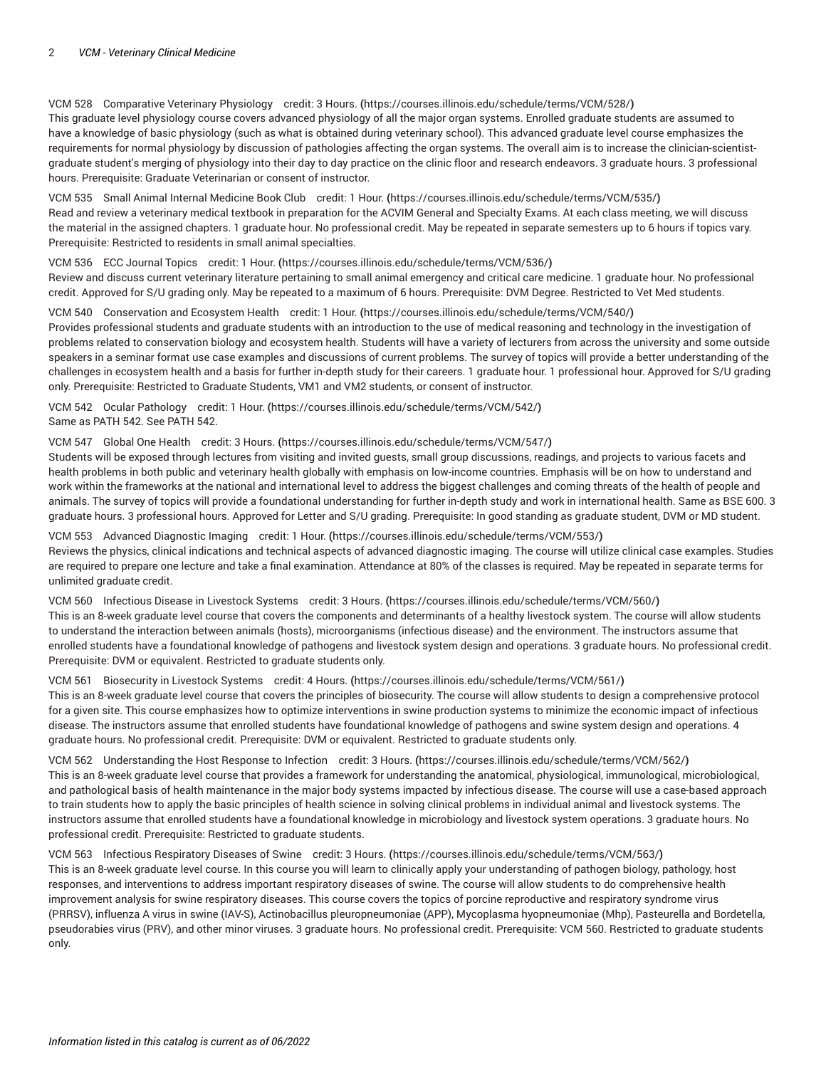VCM 528 [Comparative](https://courses.illinois.edu/schedule/terms/VCM/528/) Veterinary Physiology credit: 3 Hours. **(**<https://courses.illinois.edu/schedule/terms/VCM/528/>**)** This graduate level physiology course covers advanced physiology of all the major organ systems. Enrolled graduate students are assumed to have a knowledge of basic physiology (such as what is obtained during veterinary school). This advanced graduate level course emphasizes the requirements for normal physiology by discussion of pathologies affecting the organ systems. The overall aim is to increase the clinician-scientistgraduate student's merging of physiology into their day to day practice on the clinic floor and research endeavors. 3 graduate hours. 3 professional hours. Prerequisite: Graduate Veterinarian or consent of instructor.

VCM 535 Small Animal Internal [Medicine](https://courses.illinois.edu/schedule/terms/VCM/535/) Book Club credit: 1 Hour. **(**<https://courses.illinois.edu/schedule/terms/VCM/535/>**)** Read and review a veterinary medical textbook in preparation for the ACVIM General and Specialty Exams. At each class meeting, we will discuss the material in the assigned chapters. 1 graduate hour. No professional credit. May be repeated in separate semesters up to 6 hours if topics vary. Prerequisite: Restricted to residents in small animal specialties.

VCM 536 ECC [Journal](https://courses.illinois.edu/schedule/terms/VCM/536/) Topics credit: 1 Hour. **(**<https://courses.illinois.edu/schedule/terms/VCM/536/>**)** Review and discuss current veterinary literature pertaining to small animal emergency and critical care medicine. 1 graduate hour. No professional credit. Approved for S/U grading only. May be repeated to a maximum of 6 hours. Prerequisite: DVM Degree. Restricted to Vet Med students.

VCM 540 [Conservation](https://courses.illinois.edu/schedule/terms/VCM/540/) and Ecosystem Health credit: 1 Hour. **(**<https://courses.illinois.edu/schedule/terms/VCM/540/>**)** Provides professional students and graduate students with an introduction to the use of medical reasoning and technology in the investigation of problems related to conservation biology and ecosystem health. Students will have a variety of lecturers from across the university and some outside speakers in a seminar format use case examples and discussions of current problems. The survey of topics will provide a better understanding of the challenges in ecosystem health and a basis for further in-depth study for their careers. 1 graduate hour. 1 professional hour. Approved for S/U grading only. Prerequisite: Restricted to Graduate Students, VM1 and VM2 students, or consent of instructor.

VCM 542 Ocular [Pathology](https://courses.illinois.edu/schedule/terms/VCM/542/) credit: 1 Hour. **(**<https://courses.illinois.edu/schedule/terms/VCM/542/>**)** Same as [PATH](/search/?P=PATH%20542) 542. See [PATH](/search/?P=PATH%20542) 542.

## VCM 547 Global One Health credit: 3 [Hours.](https://courses.illinois.edu/schedule/terms/VCM/547/) **(**<https://courses.illinois.edu/schedule/terms/VCM/547/>**)**

Students will be exposed through lectures from visiting and invited guests, small group discussions, readings, and projects to various facets and health problems in both public and veterinary health globally with emphasis on low-income countries. Emphasis will be on how to understand and work within the frameworks at the national and international level to address the biggest challenges and coming threats of the health of people and animals. The survey of topics will provide a foundational understanding for further in-depth study and work in international health. Same as [BSE 600](/search/?P=BSE%20600). 3 graduate hours. 3 professional hours. Approved for Letter and S/U grading. Prerequisite: In good standing as graduate student, DVM or MD student.

VCM 553 Advanced [Diagnostic](https://courses.illinois.edu/schedule/terms/VCM/553/) Imaging credit: 1 Hour. **(**<https://courses.illinois.edu/schedule/terms/VCM/553/>**)** Reviews the physics, clinical indications and technical aspects of advanced diagnostic imaging. The course will utilize clinical case examples. Studies are required to prepare one lecture and take a final examination. Attendance at 80% of the classes is required. May be repeated in separate terms for unlimited graduate credit.

VCM 560 [Infectious](https://courses.illinois.edu/schedule/terms/VCM/560/) Disease in Livestock Systems credit: 3 Hours. **(**<https://courses.illinois.edu/schedule/terms/VCM/560/>**)** This is an 8-week graduate level course that covers the components and determinants of a healthy livestock system. The course will allow students to understand the interaction between animals (hosts), microorganisms (infectious disease) and the environment. The instructors assume that enrolled students have a foundational knowledge of pathogens and livestock system design and operations. 3 graduate hours. No professional credit. Prerequisite: DVM or equivalent. Restricted to graduate students only.

## VCM 561 [Biosecurity](https://courses.illinois.edu/schedule/terms/VCM/561/) in Livestock Systems credit: 4 Hours. **(**<https://courses.illinois.edu/schedule/terms/VCM/561/>**)**

This is an 8-week graduate level course that covers the principles of biosecurity. The course will allow students to design a comprehensive protocol for a given site. This course emphasizes how to optimize interventions in swine production systems to minimize the economic impact of infectious disease. The instructors assume that enrolled students have foundational knowledge of pathogens and swine system design and operations. 4 graduate hours. No professional credit. Prerequisite: DVM or equivalent. Restricted to graduate students only.

VCM 562 [Understanding](https://courses.illinois.edu/schedule/terms/VCM/562/) the Host Response to Infection credit: 3 Hours. **(**<https://courses.illinois.edu/schedule/terms/VCM/562/>**)** This is an 8-week graduate level course that provides a framework for understanding the anatomical, physiological, immunological, microbiological, and pathological basis of health maintenance in the major body systems impacted by infectious disease. The course will use a case-based approach to train students how to apply the basic principles of health science in solving clinical problems in individual animal and livestock systems. The instructors assume that enrolled students have a foundational knowledge in microbiology and livestock system operations. 3 graduate hours. No professional credit. Prerequisite: Restricted to graduate students.

VCM 563 Infectious [Respiratory](https://courses.illinois.edu/schedule/terms/VCM/563/) Diseases of Swine credit: 3 Hours. **(**<https://courses.illinois.edu/schedule/terms/VCM/563/>**)** This is an 8-week graduate level course. In this course you will learn to clinically apply your understanding of pathogen biology, pathology, host responses, and interventions to address important respiratory diseases of swine. The course will allow students to do comprehensive health improvement analysis for swine respiratory diseases. This course covers the topics of porcine reproductive and respiratory syndrome virus (PRRSV), influenza A virus in swine (IAV-S), Actinobacillus pleuropneumoniae (APP), Mycoplasma hyopneumoniae (Mhp), Pasteurella and Bordetella, pseudorabies virus (PRV), and other minor viruses. 3 graduate hours. No professional credit. Prerequisite: [VCM](/search/?P=VCM%20560) 560. Restricted to graduate students only.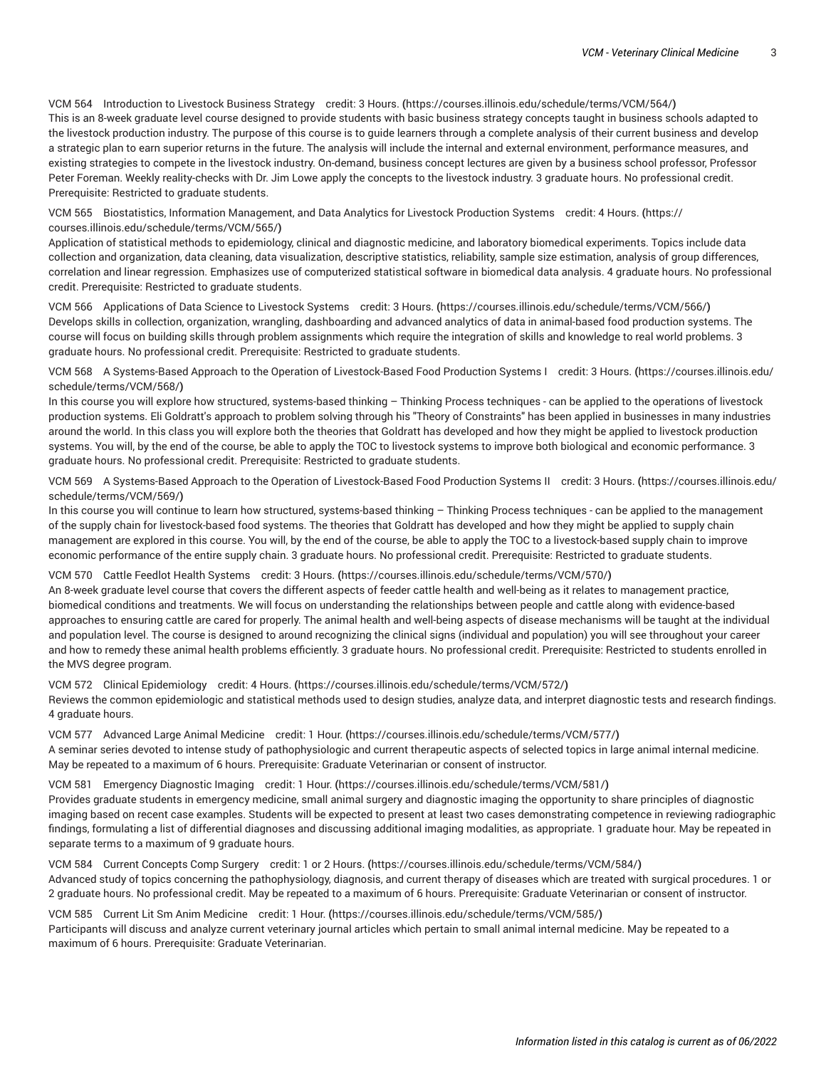VCM 564 [Introduction](https://courses.illinois.edu/schedule/terms/VCM/564/) to Livestock Business Strategy credit: 3 Hours. **(**<https://courses.illinois.edu/schedule/terms/VCM/564/>**)** This is an 8-week graduate level course designed to provide students with basic business strategy concepts taught in business schools adapted to the livestock production industry. The purpose of this course is to guide learners through a complete analysis of their current business and develop a strategic plan to earn superior returns in the future. The analysis will include the internal and external environment, performance measures, and existing strategies to compete in the livestock industry. On-demand, business concept lectures are given by a business school professor, Professor Peter Foreman. Weekly reality-checks with Dr. Jim Lowe apply the concepts to the livestock industry. 3 graduate hours. No professional credit. Prerequisite: Restricted to graduate students.

VCM 565 Biostatistics, Information [Management,](https://courses.illinois.edu/schedule/terms/VCM/565/) and Data Analytics for Livestock Production Systems credit: 4 Hours. **(**[https://](https://courses.illinois.edu/schedule/terms/VCM/565/) [courses.illinois.edu/schedule/terms/VCM/565/](https://courses.illinois.edu/schedule/terms/VCM/565/)**)**

Application of statistical methods to epidemiology, clinical and diagnostic medicine, and laboratory biomedical experiments. Topics include data collection and organization, data cleaning, data visualization, descriptive statistics, reliability, sample size estimation, analysis of group differences, correlation and linear regression. Emphasizes use of computerized statistical software in biomedical data analysis. 4 graduate hours. No professional credit. Prerequisite: Restricted to graduate students.

VCM 566 [Applications](https://courses.illinois.edu/schedule/terms/VCM/566/) of Data Science to Livestock Systems credit: 3 Hours. **(**<https://courses.illinois.edu/schedule/terms/VCM/566/>**)** Develops skills in collection, organization, wrangling, dashboarding and advanced analytics of data in animal-based food production systems. The course will focus on building skills through problem assignments which require the integration of skills and knowledge to real world problems. 3 graduate hours. No professional credit. Prerequisite: Restricted to graduate students.

VCM 568 A Systems-Based Approach to the Operation of [Livestock-Based](https://courses.illinois.edu/schedule/terms/VCM/568/) Food Production Systems I credit: 3 Hours. **(**[https://courses.illinois.edu/](https://courses.illinois.edu/schedule/terms/VCM/568/) [schedule/terms/VCM/568/](https://courses.illinois.edu/schedule/terms/VCM/568/)**)**

In this course you will explore how structured, systems-based thinking – Thinking Process techniques - can be applied to the operations of livestock production systems. Eli Goldratt's approach to problem solving through his "Theory of Constraints" has been applied in businesses in many industries around the world. In this class you will explore both the theories that Goldratt has developed and how they might be applied to livestock production systems. You will, by the end of the course, be able to apply the TOC to livestock systems to improve both biological and economic performance. 3 graduate hours. No professional credit. Prerequisite: Restricted to graduate students.

VCM 569 A Systems-Based Approach to the Operation of [Livestock-Based](https://courses.illinois.edu/schedule/terms/VCM/569/) Food Production Systems II credit: 3 Hours. **(**[https://courses.illinois.edu/](https://courses.illinois.edu/schedule/terms/VCM/569/) [schedule/terms/VCM/569/](https://courses.illinois.edu/schedule/terms/VCM/569/)**)**

In this course you will continue to learn how structured, systems-based thinking – Thinking Process techniques - can be applied to the management of the supply chain for livestock-based food systems. The theories that Goldratt has developed and how they might be applied to supply chain management are explored in this course. You will, by the end of the course, be able to apply the TOC to a livestock-based supply chain to improve economic performance of the entire supply chain. 3 graduate hours. No professional credit. Prerequisite: Restricted to graduate students.

VCM 570 Cattle Feedlot Health [Systems](https://courses.illinois.edu/schedule/terms/VCM/570/) credit: 3 Hours. **(**<https://courses.illinois.edu/schedule/terms/VCM/570/>**)**

An 8-week graduate level course that covers the different aspects of feeder cattle health and well-being as it relates to management practice, biomedical conditions and treatments. We will focus on understanding the relationships between people and cattle along with evidence-based approaches to ensuring cattle are cared for properly. The animal health and well-being aspects of disease mechanisms will be taught at the individual and population level. The course is designed to around recognizing the clinical signs (individual and population) you will see throughout your career and how to remedy these animal health problems efficiently. 3 graduate hours. No professional credit. Prerequisite: Restricted to students enrolled in the MVS degree program.

VCM 572 Clinical [Epidemiology](https://courses.illinois.edu/schedule/terms/VCM/572/) credit: 4 Hours. **(**<https://courses.illinois.edu/schedule/terms/VCM/572/>**)**

Reviews the common epidemiologic and statistical methods used to design studies, analyze data, and interpret diagnostic tests and research findings. 4 graduate hours.

VCM 577 [Advanced](https://courses.illinois.edu/schedule/terms/VCM/577/) Large Animal Medicine credit: 1 Hour. **(**<https://courses.illinois.edu/schedule/terms/VCM/577/>**)** A seminar series devoted to intense study of pathophysiologic and current therapeutic aspects of selected topics in large animal internal medicine. May be repeated to a maximum of 6 hours. Prerequisite: Graduate Veterinarian or consent of instructor.

VCM 581 [Emergency](https://courses.illinois.edu/schedule/terms/VCM/581/) Diagnostic Imaging credit: 1 Hour. **(**<https://courses.illinois.edu/schedule/terms/VCM/581/>**)**

Provides graduate students in emergency medicine, small animal surgery and diagnostic imaging the opportunity to share principles of diagnostic imaging based on recent case examples. Students will be expected to present at least two cases demonstrating competence in reviewing radiographic findings, formulating a list of differential diagnoses and discussing additional imaging modalities, as appropriate. 1 graduate hour. May be repeated in separate terms to a maximum of 9 graduate hours.

VCM 584 Current [Concepts](https://courses.illinois.edu/schedule/terms/VCM/584/) Comp Surgery credit: 1 or 2 Hours. **(**<https://courses.illinois.edu/schedule/terms/VCM/584/>**)** Advanced study of topics concerning the pathophysiology, diagnosis, and current therapy of diseases which are treated with surgical procedures. 1 or 2 graduate hours. No professional credit. May be repeated to a maximum of 6 hours. Prerequisite: Graduate Veterinarian or consent of instructor.

VCM 585 Current Lit Sm Anim [Medicine](https://courses.illinois.edu/schedule/terms/VCM/585/) credit: 1 Hour. **(**<https://courses.illinois.edu/schedule/terms/VCM/585/>**)** Participants will discuss and analyze current veterinary journal articles which pertain to small animal internal medicine. May be repeated to a maximum of 6 hours. Prerequisite: Graduate Veterinarian.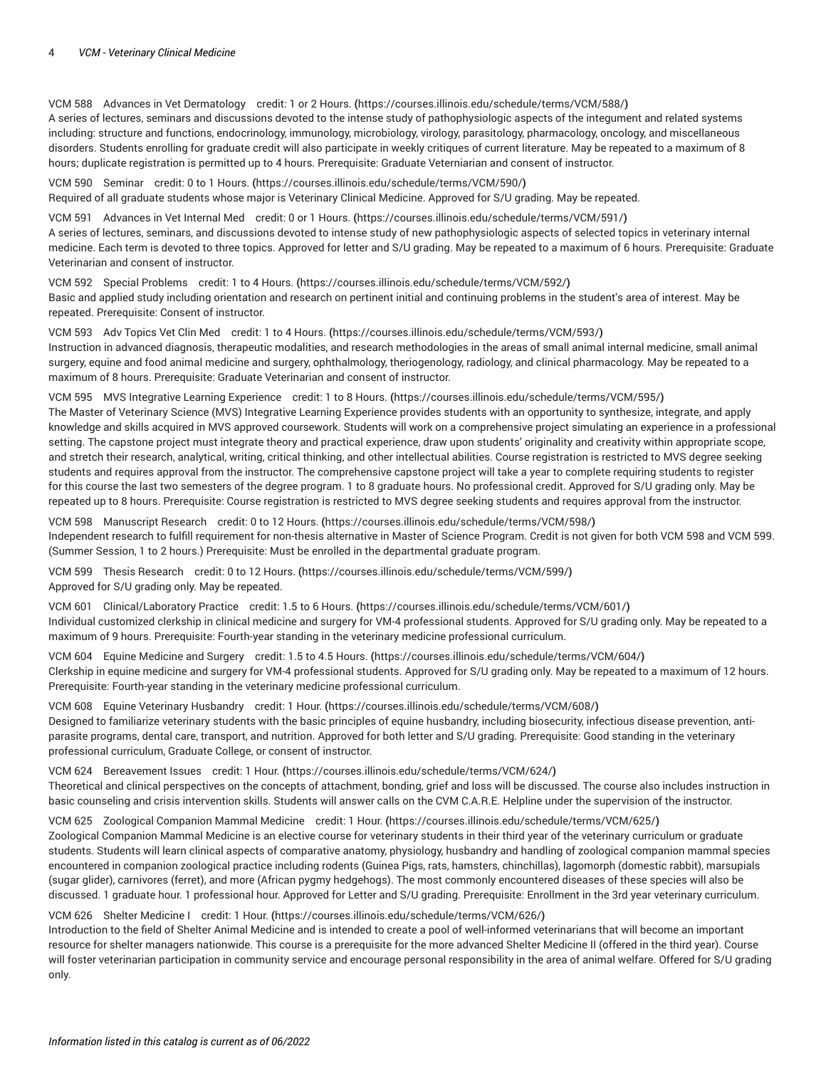#### 4 *VCM - Veterinary Clinical Medicine*

VCM 588 Advances in Vet [Dermatology](https://courses.illinois.edu/schedule/terms/VCM/588/) credit: 1 or 2 Hours. **(**<https://courses.illinois.edu/schedule/terms/VCM/588/>**)** A series of lectures, seminars and discussions devoted to the intense study of pathophysiologic aspects of the integument and related systems including: structure and functions, endocrinology, immunology, microbiology, virology, parasitology, pharmacology, oncology, and miscellaneous disorders. Students enrolling for graduate credit will also participate in weekly critiques of current literature. May be repeated to a maximum of 8 hours; duplicate registration is permitted up to 4 hours. Prerequisite: Graduate Veterniarian and consent of instructor.

VCM 590 [Seminar](https://courses.illinois.edu/schedule/terms/VCM/590/) credit: 0 to 1 Hours. **(**<https://courses.illinois.edu/schedule/terms/VCM/590/>**)** Required of all graduate students whose major is Veterinary Clinical Medicine. Approved for S/U grading. May be repeated.

VCM 591 [Advances](https://courses.illinois.edu/schedule/terms/VCM/591/) in Vet Internal Med credit: 0 or 1 Hours. **(**<https://courses.illinois.edu/schedule/terms/VCM/591/>**)** A series of lectures, seminars, and discussions devoted to intense study of new pathophysiologic aspects of selected topics in veterinary internal medicine. Each term is devoted to three topics. Approved for letter and S/U grading. May be repeated to a maximum of 6 hours. Prerequisite: Graduate Veterinarian and consent of instructor.

VCM 592 Special [Problems](https://courses.illinois.edu/schedule/terms/VCM/592/) credit: 1 to 4 Hours. **(**<https://courses.illinois.edu/schedule/terms/VCM/592/>**)** Basic and applied study including orientation and research on pertinent initial and continuing problems in the student's area of interest. May be repeated. Prerequisite: Consent of instructor.

VCM 593 Adv [Topics](https://courses.illinois.edu/schedule/terms/VCM/593/) Vet Clin Med credit: 1 to 4 Hours. **(**<https://courses.illinois.edu/schedule/terms/VCM/593/>**)** Instruction in advanced diagnosis, therapeutic modalities, and research methodologies in the areas of small animal internal medicine, small animal surgery, equine and food animal medicine and surgery, ophthalmology, theriogenology, radiology, and clinical pharmacology. May be repeated to a maximum of 8 hours. Prerequisite: Graduate Veterinarian and consent of instructor.

VCM 595 MVS Integrative Learning [Experience](https://courses.illinois.edu/schedule/terms/VCM/595/) credit: 1 to 8 Hours. **(**<https://courses.illinois.edu/schedule/terms/VCM/595/>**)** The Master of Veterinary Science (MVS) Integrative Learning Experience provides students with an opportunity to synthesize, integrate, and apply knowledge and skills acquired in MVS approved coursework. Students will work on a comprehensive project simulating an experience in a professional setting. The capstone project must integrate theory and practical experience, draw upon students' originality and creativity within appropriate scope, and stretch their research, analytical, writing, critical thinking, and other intellectual abilities. Course registration is restricted to MVS degree seeking students and requires approval from the instructor. The comprehensive capstone project will take a year to complete requiring students to register for this course the last two semesters of the degree program. 1 to 8 graduate hours. No professional credit. Approved for S/U grading only. May be repeated up to 8 hours. Prerequisite: Course registration is restricted to MVS degree seeking students and requires approval from the instructor.

VCM 598 [Manuscript](https://courses.illinois.edu/schedule/terms/VCM/598/) Research credit: 0 to 12 Hours. **(**<https://courses.illinois.edu/schedule/terms/VCM/598/>**)** Independent research to fulfill requirement for non-thesis alternative in Master of Science Program. Credit is not given for both [VCM](/search/?P=VCM%20598) 598 and [VCM](/search/?P=VCM%20599) 599. (Summer Session, 1 to 2 hours.) Prerequisite: Must be enrolled in the departmental graduate program.

VCM 599 Thesis [Research](https://courses.illinois.edu/schedule/terms/VCM/599/) credit: 0 to 12 Hours. **(**<https://courses.illinois.edu/schedule/terms/VCM/599/>**)** Approved for S/U grading only. May be repeated.

VCM 601 [Clinical/Laboratory](https://courses.illinois.edu/schedule/terms/VCM/601/) Practice credit: 1.5 to 6 Hours. **(**<https://courses.illinois.edu/schedule/terms/VCM/601/>**)** Individual customized clerkship in clinical medicine and surgery for VM-4 professional students. Approved for S/U grading only. May be repeated to a maximum of 9 hours. Prerequisite: Fourth-year standing in the veterinary medicine professional curriculum.

VCM 604 Equine [Medicine](https://courses.illinois.edu/schedule/terms/VCM/604/) and Surgery credit: 1.5 to 4.5 Hours. **(**<https://courses.illinois.edu/schedule/terms/VCM/604/>**)** Clerkship in equine medicine and surgery for VM-4 professional students. Approved for S/U grading only. May be repeated to a maximum of 12 hours. Prerequisite: Fourth-year standing in the veterinary medicine professional curriculum.

VCM 608 Equine Veterinary [Husbandry](https://courses.illinois.edu/schedule/terms/VCM/608/) credit: 1 Hour. **(**<https://courses.illinois.edu/schedule/terms/VCM/608/>**)** Designed to familiarize veterinary students with the basic principles of equine husbandry, including biosecurity, infectious disease prevention, antiparasite programs, dental care, transport, and nutrition. Approved for both letter and S/U grading. Prerequisite: Good standing in the veterinary professional curriculum, Graduate College, or consent of instructor.

VCM 624 [Bereavement](https://courses.illinois.edu/schedule/terms/VCM/624/) Issues credit: 1 Hour. **(**<https://courses.illinois.edu/schedule/terms/VCM/624/>**)** Theoretical and clinical perspectives on the concepts of attachment, bonding, grief and loss will be discussed. The course also includes instruction in basic counseling and crisis intervention skills. Students will answer calls on the CVM C.A.R.E. Helpline under the supervision of the instructor.

VCM 625 Zoological [Companion](https://courses.illinois.edu/schedule/terms/VCM/625/) Mammal Medicine credit: 1 Hour. **(**<https://courses.illinois.edu/schedule/terms/VCM/625/>**)** Zoological Companion Mammal Medicine is an elective course for veterinary students in their third year of the veterinary curriculum or graduate students. Students will learn clinical aspects of comparative anatomy, physiology, husbandry and handling of zoological companion mammal species encountered in companion zoological practice including rodents (Guinea Pigs, rats, hamsters, chinchillas), lagomorph (domestic rabbit), marsupials (sugar glider), carnivores (ferret), and more (African pygmy hedgehogs). The most commonly encountered diseases of these species will also be discussed. 1 graduate hour. 1 professional hour. Approved for Letter and S/U grading. Prerequisite: Enrollment in the 3rd year veterinary curriculum.

VCM 626 Shelter [Medicine](https://courses.illinois.edu/schedule/terms/VCM/626/) I credit: 1 Hour. **(**<https://courses.illinois.edu/schedule/terms/VCM/626/>**)**

Introduction to the field of Shelter Animal Medicine and is intended to create a pool of well-informed veterinarians that will become an important resource for shelter managers nationwide. This course is a prerequisite for the more advanced Shelter Medicine II (offered in the third year). Course will foster veterinarian participation in community service and encourage personal responsibility in the area of animal welfare. Offered for S/U grading only.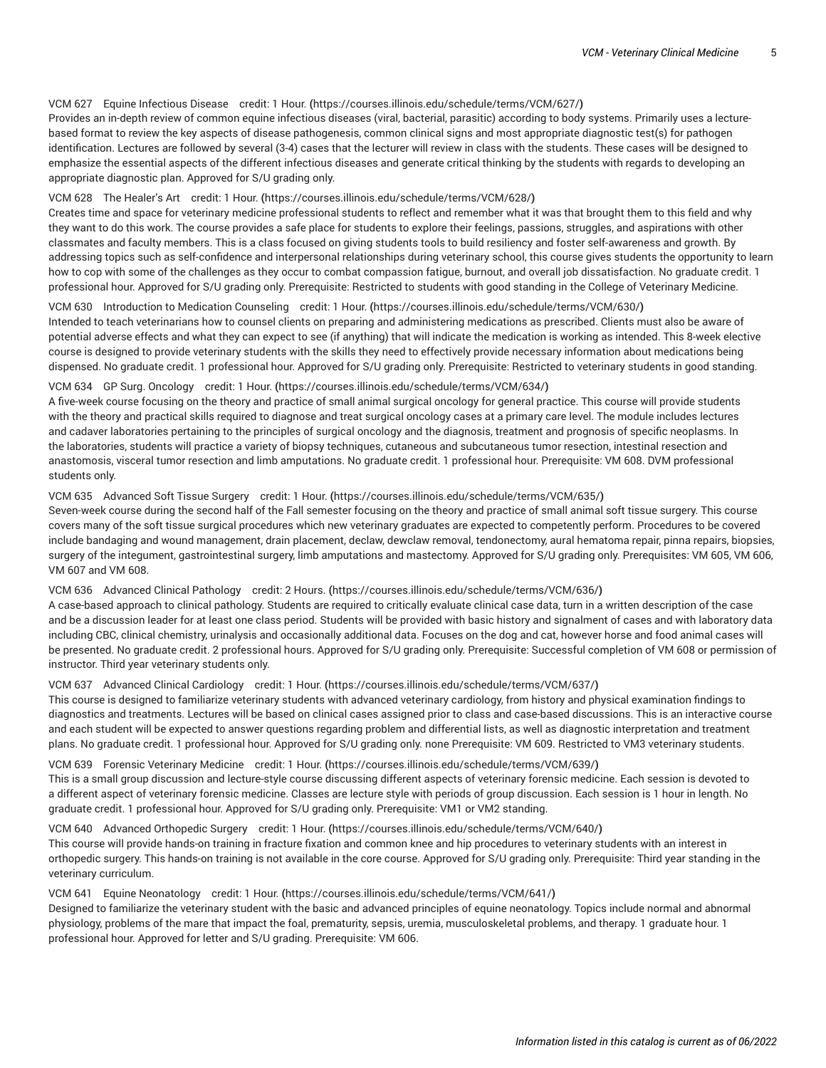## VCM 627 Equine [Infectious](https://courses.illinois.edu/schedule/terms/VCM/627/) Disease credit: 1 Hour. **(**<https://courses.illinois.edu/schedule/terms/VCM/627/>**)**

Provides an in-depth review of common equine infectious diseases (viral, bacterial, parasitic) according to body systems. Primarily uses a lecturebased format to review the key aspects of disease pathogenesis, common clinical signs and most appropriate diagnostic test(s) for pathogen identification. Lectures are followed by several (3-4) cases that the lecturer will review in class with the students. These cases will be designed to emphasize the essential aspects of the different infectious diseases and generate critical thinking by the students with regards to developing an appropriate diagnostic plan. Approved for S/U grading only.

#### VCM 628 The [Healer's](https://courses.illinois.edu/schedule/terms/VCM/628/) Art credit: 1 Hour. **(**<https://courses.illinois.edu/schedule/terms/VCM/628/>**)**

Creates time and space for veterinary medicine professional students to reflect and remember what it was that brought them to this field and why they want to do this work. The course provides a safe place for students to explore their feelings, passions, struggles, and aspirations with other classmates and faculty members. This is a class focused on giving students tools to build resiliency and foster self-awareness and growth. By addressing topics such as self-confidence and interpersonal relationships during veterinary school, this course gives students the opportunity to learn how to cop with some of the challenges as they occur to combat compassion fatigue, burnout, and overall job dissatisfaction. No graduate credit. 1 professional hour. Approved for S/U grading only. Prerequisite: Restricted to students with good standing in the College of Veterinary Medicine.

## VCM 630 [Introduction](https://courses.illinois.edu/schedule/terms/VCM/630/) to Medication Counseling credit: 1 Hour. **(**<https://courses.illinois.edu/schedule/terms/VCM/630/>**)**

Intended to teach veterinarians how to counsel clients on preparing and administering medications as prescribed. Clients must also be aware of potential adverse effects and what they can expect to see (if anything) that will indicate the medication is working as intended. This 8-week elective course is designed to provide veterinary students with the skills they need to effectively provide necessary information about medications being dispensed. No graduate credit. 1 professional hour. Approved for S/U grading only. Prerequisite: Restricted to veterinary students in good standing.

#### VCM 634 GP Surg. [Oncology](https://courses.illinois.edu/schedule/terms/VCM/634/) credit: 1 Hour. **(**<https://courses.illinois.edu/schedule/terms/VCM/634/>**)**

A five-week course focusing on the theory and practice of small animal surgical oncology for general practice. This course will provide students with the theory and practical skills required to diagnose and treat surgical oncology cases at a primary care level. The module includes lectures and cadaver laboratories pertaining to the principles of surgical oncology and the diagnosis, treatment and prognosis of specific neoplasms. In the laboratories, students will practice a variety of biopsy techniques, cutaneous and subcutaneous tumor resection, intestinal resection and anastomosis, visceral tumor resection and limb amputations. No graduate credit. 1 professional hour. Prerequisite: [VM 608](/search/?P=VM%20608). DVM professional students only.

## VCM 635 [Advanced](https://courses.illinois.edu/schedule/terms/VCM/635/) Soft Tissue Surgery credit: 1 Hour. **(**<https://courses.illinois.edu/schedule/terms/VCM/635/>**)**

Seven-week course during the second half of the Fall semester focusing on the theory and practice of small animal soft tissue surgery. This course covers many of the soft tissue surgical procedures which new veterinary graduates are expected to competently perform. Procedures to be covered include bandaging and wound management, drain placement, declaw, dewclaw removal, tendonectomy, aural hematoma repair, pinna repairs, biopsies, surgery of the integument, gastrointestinal surgery, limb amputations and mastectomy. Approved for S/U grading only. Prerequisites: [VM 605,](/search/?P=VM%20605) [VM 606,](/search/?P=VM%20606) [VM 607](/search/?P=VM%20607) and [VM 608.](/search/?P=VM%20608)

# VCM 636 Advanced Clinical [Pathology](https://courses.illinois.edu/schedule/terms/VCM/636/) credit: 2 Hours. **(**<https://courses.illinois.edu/schedule/terms/VCM/636/>**)**

A case-based approach to clinical pathology. Students are required to critically evaluate clinical case data, turn in a written description of the case and be a discussion leader for at least one class period. Students will be provided with basic history and signalment of cases and with laboratory data including CBC, clinical chemistry, urinalysis and occasionally additional data. Focuses on the dog and cat, however horse and food animal cases will be presented. No graduate credit. 2 professional hours. Approved for S/U grading only. Prerequisite: Successful completion of [VM 608](/search/?P=VM%20608) or permission of instructor. Third year veterinary students only.

# VCM 637 Advanced Clinical [Cardiology](https://courses.illinois.edu/schedule/terms/VCM/637/) credit: 1 Hour. **(**<https://courses.illinois.edu/schedule/terms/VCM/637/>**)**

This course is designed to familiarize veterinary students with advanced veterinary cardiology, from history and physical examination findings to diagnostics and treatments. Lectures will be based on clinical cases assigned prior to class and case-based discussions. This is an interactive course and each student will be expected to answer questions regarding problem and differential lists, as well as diagnostic interpretation and treatment plans. No graduate credit. 1 professional hour. Approved for S/U grading only. none Prerequisite: [VM 609.](/search/?P=VM%20609) Restricted to VM3 veterinary students.

# VCM 639 Forensic [Veterinary](https://courses.illinois.edu/schedule/terms/VCM/639/) Medicine credit: 1 Hour. **(**<https://courses.illinois.edu/schedule/terms/VCM/639/>**)**

This is a small group discussion and lecture-style course discussing different aspects of veterinary forensic medicine. Each session is devoted to a different aspect of veterinary forensic medicine. Classes are lecture style with periods of group discussion. Each session is 1 hour in length. No graduate credit. 1 professional hour. Approved for S/U grading only. Prerequisite: VM1 or VM2 standing.

# VCM 640 Advanced [Orthopedic](https://courses.illinois.edu/schedule/terms/VCM/640/) Surgery credit: 1 Hour. **(**<https://courses.illinois.edu/schedule/terms/VCM/640/>**)**

This course will provide hands-on training in fracture fixation and common knee and hip procedures to veterinary students with an interest in orthopedic surgery. This hands-on training is not available in the core course. Approved for S/U grading only. Prerequisite: Third year standing in the veterinary curriculum.

# VCM 641 Equine [Neonatology](https://courses.illinois.edu/schedule/terms/VCM/641/) credit: 1 Hour. **(**<https://courses.illinois.edu/schedule/terms/VCM/641/>**)**

Designed to familiarize the veterinary student with the basic and advanced principles of equine neonatology. Topics include normal and abnormal physiology, problems of the mare that impact the foal, prematurity, sepsis, uremia, musculoskeletal problems, and therapy. 1 graduate hour. 1 professional hour. Approved for letter and S/U grading. Prerequisite: [VM 606](/search/?P=VM%20606).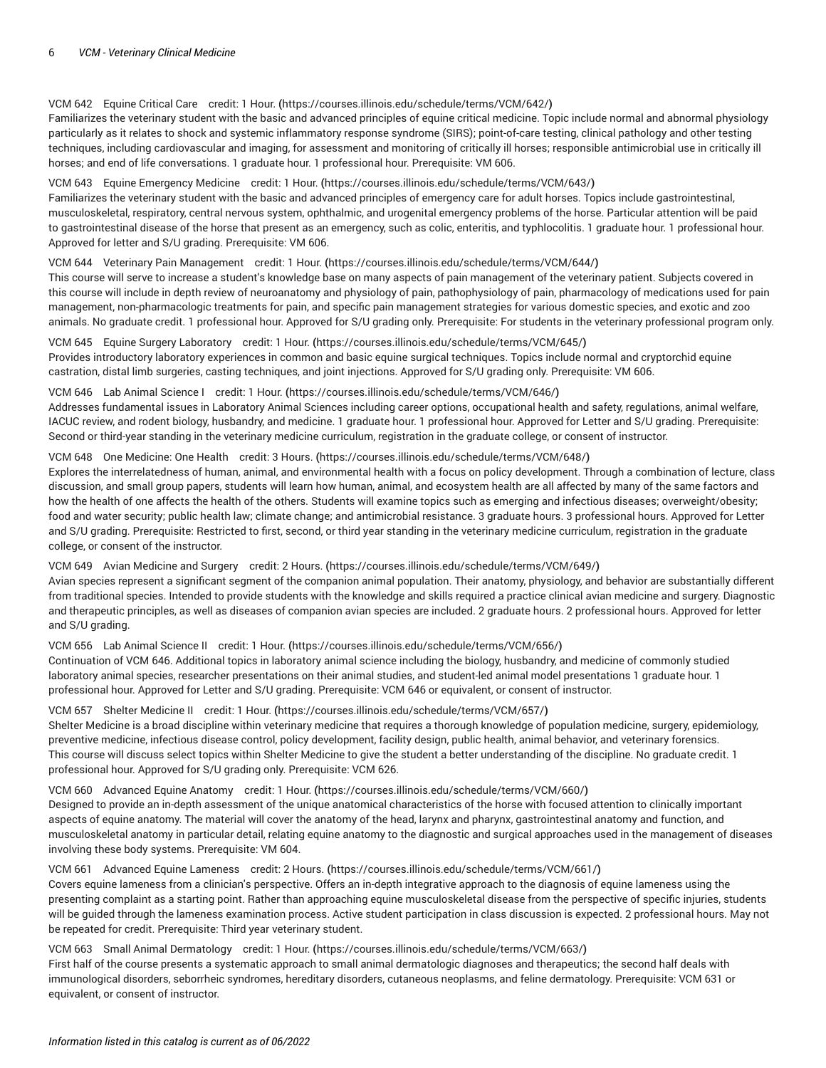## VCM 642 Equine [Critical](https://courses.illinois.edu/schedule/terms/VCM/642/) Care credit: 1 Hour. **(**<https://courses.illinois.edu/schedule/terms/VCM/642/>**)**

Familiarizes the veterinary student with the basic and advanced principles of equine critical medicine. Topic include normal and abnormal physiology particularly as it relates to shock and systemic inflammatory response syndrome (SIRS); point-of-care testing, clinical pathology and other testing techniques, including cardiovascular and imaging, for assessment and monitoring of critically ill horses; responsible antimicrobial use in critically ill horses; and end of life conversations. 1 graduate hour. 1 professional hour. Prerequisite: [VM 606](/search/?P=VM%20606).

#### VCM 643 Equine [Emergency](https://courses.illinois.edu/schedule/terms/VCM/643/) Medicine credit: 1 Hour. **(**<https://courses.illinois.edu/schedule/terms/VCM/643/>**)**

Familiarizes the veterinary student with the basic and advanced principles of emergency care for adult horses. Topics include gastrointestinal, musculoskeletal, respiratory, central nervous system, ophthalmic, and urogenital emergency problems of the horse. Particular attention will be paid to gastrointestinal disease of the horse that present as an emergency, such as colic, enteritis, and typhlocolitis. 1 graduate hour. 1 professional hour. Approved for letter and S/U grading. Prerequisite: [VM 606](/search/?P=VM%20606).

#### VCM 644 Veterinary Pain [Management](https://courses.illinois.edu/schedule/terms/VCM/644/) credit: 1 Hour. **(**<https://courses.illinois.edu/schedule/terms/VCM/644/>**)**

This course will serve to increase a student's knowledge base on many aspects of pain management of the veterinary patient. Subjects covered in this course will include in depth review of neuroanatomy and physiology of pain, pathophysiology of pain, pharmacology of medications used for pain management, non-pharmacologic treatments for pain, and specific pain management strategies for various domestic species, and exotic and zoo animals. No graduate credit. 1 professional hour. Approved for S/U grading only. Prerequisite: For students in the veterinary professional program only.

VCM 645 Equine Surgery [Laboratory](https://courses.illinois.edu/schedule/terms/VCM/645/) credit: 1 Hour. **(**<https://courses.illinois.edu/schedule/terms/VCM/645/>**)** Provides introductory laboratory experiences in common and basic equine surgical techniques. Topics include normal and cryptorchid equine castration, distal limb surgeries, casting techniques, and joint injections. Approved for S/U grading only. Prerequisite: [VM 606](/search/?P=VM%20606).

#### VCM 646 Lab Animal [Science](https://courses.illinois.edu/schedule/terms/VCM/646/) I credit: 1 Hour. **(**<https://courses.illinois.edu/schedule/terms/VCM/646/>**)**

Addresses fundamental issues in Laboratory Animal Sciences including career options, occupational health and safety, regulations, animal welfare, IACUC review, and rodent biology, husbandry, and medicine. 1 graduate hour. 1 professional hour. Approved for Letter and S/U grading. Prerequisite: Second or third-year standing in the veterinary medicine curriculum, registration in the graduate college, or consent of instructor.

#### VCM 648 One [Medicine:](https://courses.illinois.edu/schedule/terms/VCM/648/) One Health credit: 3 Hours. **(**<https://courses.illinois.edu/schedule/terms/VCM/648/>**)**

Explores the interrelatedness of human, animal, and environmental health with a focus on policy development. Through a combination of lecture, class discussion, and small group papers, students will learn how human, animal, and ecosystem health are all affected by many of the same factors and how the health of one affects the health of the others. Students will examine topics such as emerging and infectious diseases; overweight/obesity; food and water security; public health law; climate change; and antimicrobial resistance. 3 graduate hours. 3 professional hours. Approved for Letter and S/U grading. Prerequisite: Restricted to first, second, or third year standing in the veterinary medicine curriculum, registration in the graduate college, or consent of the instructor.

## VCM 649 Avian [Medicine](https://courses.illinois.edu/schedule/terms/VCM/649/) and Surgery credit: 2 Hours. **(**<https://courses.illinois.edu/schedule/terms/VCM/649/>**)**

Avian species represent a significant segment of the companion animal population. Their anatomy, physiology, and behavior are substantially different from traditional species. Intended to provide students with the knowledge and skills required a practice clinical avian medicine and surgery. Diagnostic and therapeutic principles, as well as diseases of companion avian species are included. 2 graduate hours. 2 professional hours. Approved for letter and S/U grading.

### VCM 656 Lab Animal [Science](https://courses.illinois.edu/schedule/terms/VCM/656/) II credit: 1 Hour. **(**<https://courses.illinois.edu/schedule/terms/VCM/656/>**)**

Continuation of [VCM](/search/?P=VCM%20646) 646. Additional topics in laboratory animal science including the biology, husbandry, and medicine of commonly studied laboratory animal species, researcher presentations on their animal studies, and student-led animal model presentations 1 graduate hour. 1 professional hour. Approved for Letter and S/U grading. Prerequisite: [VCM](/search/?P=VCM%20646) 646 or equivalent, or consent of instructor.

# VCM 657 Shelter [Medicine](https://courses.illinois.edu/schedule/terms/VCM/657/) II credit: 1 Hour. **(**<https://courses.illinois.edu/schedule/terms/VCM/657/>**)**

Shelter Medicine is a broad discipline within veterinary medicine that requires a thorough knowledge of population medicine, surgery, epidemiology, preventive medicine, infectious disease control, policy development, facility design, public health, animal behavior, and veterinary forensics. This course will discuss select topics within Shelter Medicine to give the student a better understanding of the discipline. No graduate credit. 1 professional hour. Approved for S/U grading only. Prerequisite: [VCM](/search/?P=VCM%20626) 626.

#### VCM 660 [Advanced](https://courses.illinois.edu/schedule/terms/VCM/660/) Equine Anatomy credit: 1 Hour. **(**<https://courses.illinois.edu/schedule/terms/VCM/660/>**)**

Designed to provide an in-depth assessment of the unique anatomical characteristics of the horse with focused attention to clinically important aspects of equine anatomy. The material will cover the anatomy of the head, larynx and pharynx, gastrointestinal anatomy and function, and musculoskeletal anatomy in particular detail, relating equine anatomy to the diagnostic and surgical approaches used in the management of diseases involving these body systems. Prerequisite: [VM 604](/search/?P=VM%20604).

#### VCM 661 Advanced Equine [Lameness](https://courses.illinois.edu/schedule/terms/VCM/661/) credit: 2 Hours. **(**<https://courses.illinois.edu/schedule/terms/VCM/661/>**)**

Covers equine lameness from a clinician's perspective. Offers an in-depth integrative approach to the diagnosis of equine lameness using the presenting complaint as a starting point. Rather than approaching equine musculoskeletal disease from the perspective of specific injuries, students will be guided through the lameness examination process. Active student participation in class discussion is expected. 2 professional hours. May not be repeated for credit. Prerequisite: Third year veterinary student.

#### VCM 663 Small Animal [Dermatology](https://courses.illinois.edu/schedule/terms/VCM/663/) credit: 1 Hour. **(**<https://courses.illinois.edu/schedule/terms/VCM/663/>**)**

First half of the course presents a systematic approach to small animal dermatologic diagnoses and therapeutics; the second half deals with immunological disorders, seborrheic syndromes, hereditary disorders, cutaneous neoplasms, and feline dermatology. Prerequisite: VCM 631 or equivalent, or consent of instructor.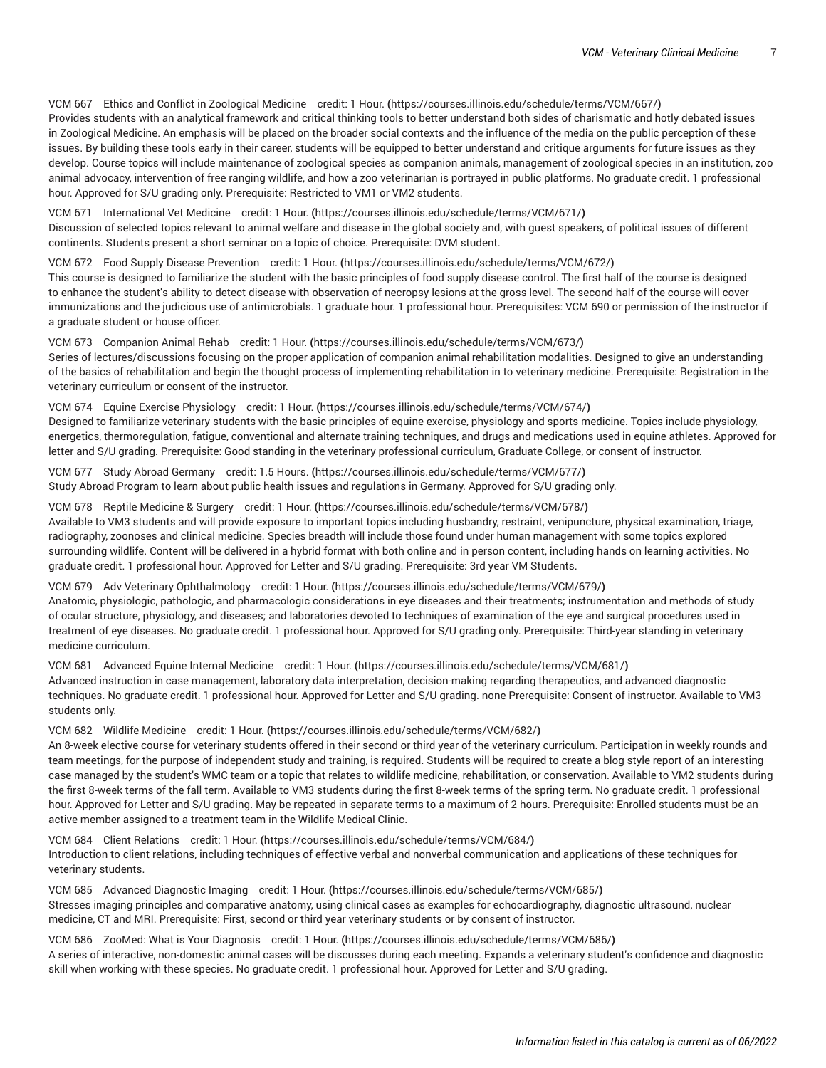# VCM 667 Ethics and Conflict in [Zoological](https://courses.illinois.edu/schedule/terms/VCM/667/) Medicine credit: 1 Hour. **(**<https://courses.illinois.edu/schedule/terms/VCM/667/>**)** Provides students with an analytical framework and critical thinking tools to better understand both sides of charismatic and hotly debated issues

in Zoological Medicine. An emphasis will be placed on the broader social contexts and the influence of the media on the public perception of these issues. By building these tools early in their career, students will be equipped to better understand and critique arguments for future issues as they develop. Course topics will include maintenance of zoological species as companion animals, management of zoological species in an institution, zoo animal advocacy, intervention of free ranging wildlife, and how a zoo veterinarian is portrayed in public platforms. No graduate credit. 1 professional hour. Approved for S/U grading only. Prerequisite: Restricted to VM1 or VM2 students.

VCM 671 [International](https://courses.illinois.edu/schedule/terms/VCM/671/) Vet Medicine credit: 1 Hour. **(**<https://courses.illinois.edu/schedule/terms/VCM/671/>**)** Discussion of selected topics relevant to animal welfare and disease in the global society and, with guest speakers, of political issues of different continents. Students present a short seminar on a topic of choice. Prerequisite: DVM student.

VCM 672 Food Supply Disease [Prevention](https://courses.illinois.edu/schedule/terms/VCM/672/) credit: 1 Hour. **(**<https://courses.illinois.edu/schedule/terms/VCM/672/>**)** This course is designed to familiarize the student with the basic principles of food supply disease control. The first half of the course is designed to enhance the student's ability to detect disease with observation of necropsy lesions at the gross level. The second half of the course will cover immunizations and the judicious use of antimicrobials. 1 graduate hour. 1 professional hour. Prerequisites: [VCM](/search/?P=VCM%20690) 690 or permission of the instructor if a graduate student or house officer.

VCM 673 [Companion](https://courses.illinois.edu/schedule/terms/VCM/673/) Animal Rehab credit: 1 Hour. **(**<https://courses.illinois.edu/schedule/terms/VCM/673/>**)** Series of lectures/discussions focusing on the proper application of companion animal rehabilitation modalities. Designed to give an understanding of the basics of rehabilitation and begin the thought process of implementing rehabilitation in to veterinary medicine. Prerequisite: Registration in the veterinary curriculum or consent of the instructor.

#### VCM 674 Equine Exercise [Physiology](https://courses.illinois.edu/schedule/terms/VCM/674/) credit: 1 Hour. **(**<https://courses.illinois.edu/schedule/terms/VCM/674/>**)**

Designed to familiarize veterinary students with the basic principles of equine exercise, physiology and sports medicine. Topics include physiology, energetics, thermoregulation, fatigue, conventional and alternate training techniques, and drugs and medications used in equine athletes. Approved for letter and S/U grading. Prerequisite: Good standing in the veterinary professional curriculum, Graduate College, or consent of instructor.

VCM 677 Study Abroad [Germany](https://courses.illinois.edu/schedule/terms/VCM/677/) credit: 1.5 Hours. **(**<https://courses.illinois.edu/schedule/terms/VCM/677/>**)** Study Abroad Program to learn about public health issues and regulations in Germany. Approved for S/U grading only.

#### VCM 678 Reptile [Medicine](https://courses.illinois.edu/schedule/terms/VCM/678/) & Surgery credit: 1 Hour. **(**<https://courses.illinois.edu/schedule/terms/VCM/678/>**)**

Available to VM3 students and will provide exposure to important topics including husbandry, restraint, venipuncture, physical examination, triage, radiography, zoonoses and clinical medicine. Species breadth will include those found under human management with some topics explored surrounding wildlife. Content will be delivered in a hybrid format with both online and in person content, including hands on learning activities. No graduate credit. 1 professional hour. Approved for Letter and S/U grading. Prerequisite: 3rd year VM Students.

#### VCM 679 Adv Veterinary [Ophthalmology](https://courses.illinois.edu/schedule/terms/VCM/679/) credit: 1 Hour. **(**<https://courses.illinois.edu/schedule/terms/VCM/679/>**)**

Anatomic, physiologic, pathologic, and pharmacologic considerations in eye diseases and their treatments; instrumentation and methods of study of ocular structure, physiology, and diseases; and laboratories devoted to techniques of examination of the eye and surgical procedures used in treatment of eye diseases. No graduate credit. 1 professional hour. Approved for S/U grading only. Prerequisite: Third-year standing in veterinary medicine curriculum.

VCM 681 [Advanced](https://courses.illinois.edu/schedule/terms/VCM/681/) Equine Internal Medicine credit: 1 Hour. **(**<https://courses.illinois.edu/schedule/terms/VCM/681/>**)**

Advanced instruction in case management, laboratory data interpretation, decision-making regarding therapeutics, and advanced diagnostic techniques. No graduate credit. 1 professional hour. Approved for Letter and S/U grading. none Prerequisite: Consent of instructor. Available to VM3 students only.

#### VCM 682 Wildlife [Medicine](https://courses.illinois.edu/schedule/terms/VCM/682/) credit: 1 Hour. **(**<https://courses.illinois.edu/schedule/terms/VCM/682/>**)**

An 8-week elective course for veterinary students offered in their second or third year of the veterinary curriculum. Participation in weekly rounds and team meetings, for the purpose of independent study and training, is required. Students will be required to create a blog style report of an interesting case managed by the student's WMC team or a topic that relates to wildlife medicine, rehabilitation, or conservation. Available to VM2 students during the first 8-week terms of the fall term. Available to VM3 students during the first 8-week terms of the spring term. No graduate credit. 1 professional hour. Approved for Letter and S/U grading. May be repeated in separate terms to a maximum of 2 hours. Prerequisite: Enrolled students must be an active member assigned to a treatment team in the Wildlife Medical Clinic.

# VCM 684 Client [Relations](https://courses.illinois.edu/schedule/terms/VCM/684/) credit: 1 Hour. **(**<https://courses.illinois.edu/schedule/terms/VCM/684/>**)** Introduction to client relations, including techniques of effective verbal and nonverbal communication and applications of these techniques for veterinary students.

VCM 685 Advanced [Diagnostic](https://courses.illinois.edu/schedule/terms/VCM/685/) Imaging credit: 1 Hour. **(**<https://courses.illinois.edu/schedule/terms/VCM/685/>**)** Stresses imaging principles and comparative anatomy, using clinical cases as examples for echocardiography, diagnostic ultrasound, nuclear medicine, CT and MRI. Prerequisite: First, second or third year veterinary students or by consent of instructor.

VCM 686 ZooMed: What is Your [Diagnosis](https://courses.illinois.edu/schedule/terms/VCM/686/) credit: 1 Hour. **(**<https://courses.illinois.edu/schedule/terms/VCM/686/>**)** A series of interactive, non-domestic animal cases will be discusses during each meeting. Expands a veterinary student's confidence and diagnostic skill when working with these species. No graduate credit. 1 professional hour. Approved for Letter and S/U grading.